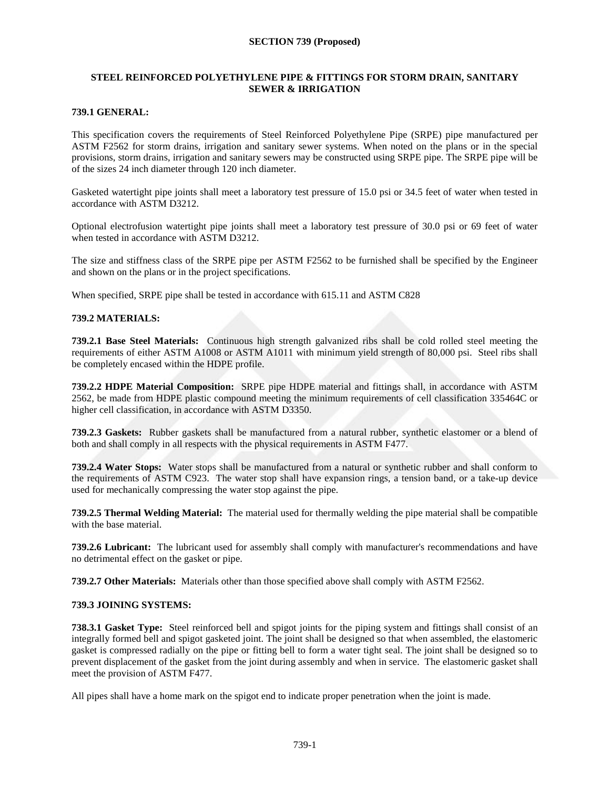#### **SECTION 739 (Proposed)**

# **STEEL REINFORCED POLYETHYLENE PIPE & FITTINGS FOR STORM DRAIN, SANITARY SEWER & IRRIGATION**

#### **739.1 GENERAL:**

This specification covers the requirements of Steel Reinforced Polyethylene Pipe (SRPE) pipe manufactured per ASTM F2562 for storm drains, irrigation and sanitary sewer systems. When noted on the plans or in the special provisions, storm drains, irrigation and sanitary sewers may be constructed using SRPE pipe. The SRPE pipe will be of the sizes 24 inch diameter through 120 inch diameter.

Gasketed watertight pipe joints shall meet a laboratory test pressure of 15.0 psi or 34.5 feet of water when tested in accordance with ASTM D3212.

Optional electrofusion watertight pipe joints shall meet a laboratory test pressure of 30.0 psi or 69 feet of water when tested in accordance with ASTM D3212.

The size and stiffness class of the SRPE pipe per ASTM F2562 to be furnished shall be specified by the Engineer and shown on the plans or in the project specifications.

When specified, SRPE pipe shall be tested in accordance with 615.11 and ASTM C828

#### **739.2 MATERIALS:**

**739.2.1 Base Steel Materials:** Continuous high strength galvanized ribs shall be cold rolled steel meeting the requirements of either ASTM A1008 or ASTM A1011 with minimum yield strength of 80,000 psi. Steel ribs shall be completely encased within the HDPE profile.

**739.2.2 HDPE Material Composition:** SRPE pipe HDPE material and fittings shall, in accordance with ASTM 2562, be made from HDPE plastic compound meeting the minimum requirements of cell classification 335464C or higher cell classification, in accordance with ASTM D3350.

**739.2.3 Gaskets:** Rubber gaskets shall be manufactured from a natural rubber, synthetic elastomer or a blend of both and shall comply in all respects with the physical requirements in ASTM F477.

**739.2.4 Water Stops:** Water stops shall be manufactured from a natural or synthetic rubber and shall conform to the requirements of ASTM C923. The water stop shall have expansion rings, a tension band, or a take-up device used for mechanically compressing the water stop against the pipe.

**739.2.5 Thermal Welding Material:** The material used for thermally welding the pipe material shall be compatible with the base material.

**739.2.6 Lubricant:** The lubricant used for assembly shall comply with manufacturer's recommendations and have no detrimental effect on the gasket or pipe.

**739.2.7 Other Materials:** Materials other than those specified above shall comply with ASTM F2562.

#### <span id="page-0-0"></span>**739.3 JOINING SYSTEMS:**

**738.3.1 Gasket Type:** Steel reinforced bell and spigot joints for the piping system and fittings shall consist of an integrally formed bell and spigot gasketed joint. The joint shall be designed so that when assembled, the elastomeric gasket is compressed radially on the pipe or fitting bell to form a water tight seal. The joint shall be designed so to prevent displacement of the gasket from the joint during assembly and when in service. The elastomeric gasket shall meet the provision of ASTM F477.

All pipes shall have a home mark on the spigot end to indicate proper penetration when the joint is made.